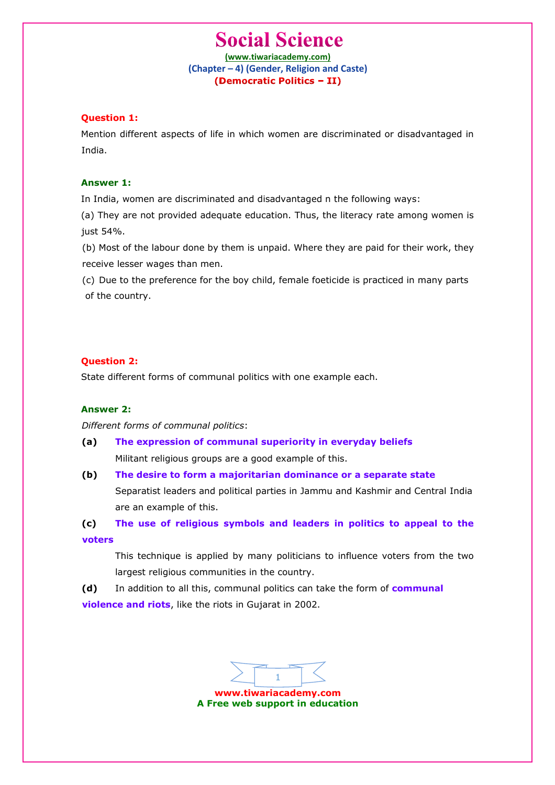**(www.tiwariacademy.com) (Chapter – 4) (Gender, Religion and Caste)**

## **Question 1:**

Mention different aspects of life in which women are discriminated or disadvantaged in India.

#### **Answer 1:**

In India, women are discriminated and disadvantaged n the following ways:

(a) They are not provided adequate education. Thus, the literacy rate among women is just 54%.

(b) Most of the labour done by them is unpaid. Where they are paid for their work, they receive lesser wages than men.

(c) Due to the preference for the boy child, female foeticide is practiced in many parts of the country.

### **Question 2:**

State different forms of communal politics with one example each.

#### **Answer 2:**

*Different forms of communal politics*:

**(a) The expression of communal superiority in everyday beliefs** Militant religious groups are a good example of this.

**(b) The desire to form a majoritarian dominance or a separate state**

Separatist leaders and political parties in Jammu and Kashmir and Central India are an example of this.

**(c) The use of religious symbols and leaders in politics to appeal to the voters**

This technique is applied by many politicians to influence voters from the two largest religious communities in the country.

**(d)** In addition to all this, communal politics can take the form of **communal violence and riots**, like the riots in Gujarat in 2002.

**www.tiwariacademy.com** 1

**A Free web support in education**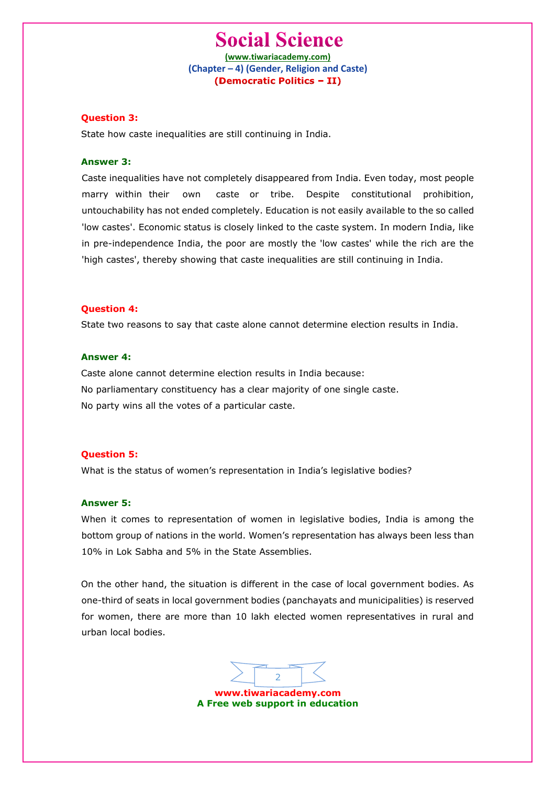**(www.tiwariacademy.com) (Chapter – 4) (Gender, Religion and Caste)**

## **Question 3:**

State how caste inequalities are still continuing in India.

### **Answer 3:**

Caste inequalities have not completely disappeared from India. Even today, most people marry within their own caste or tribe. Despite constitutional prohibition, untouchability has not ended completely. Education is not easily available to the so called 'low castes'. Economic status is closely linked to the caste system. In modern India, like in pre-independence India, the poor are mostly the 'low castes' while the rich are the 'high castes', thereby showing that caste inequalities are still continuing in India.

#### **Question 4:**

State two reasons to say that caste alone cannot determine election results in India.

#### **Answer 4:**

Caste alone cannot determine election results in India because: No parliamentary constituency has a clear majority of one single caste. No party wins all the votes of a particular caste.

### **Question 5:**

What is the status of women's representation in India's legislative bodies?

#### **Answer 5:**

When it comes to representation of women in legislative bodies, India is among the bottom group of nations in the world. Women's representation has always been less than 10% in Lok Sabha and 5% in the State Assemblies.

On the other hand, the situation is different in the case of local government bodies. As one-third of seats in local government bodies (panchayats and municipalities) is reserved for women, there are more than 10 lakh elected women representatives in rural and urban local bodies.

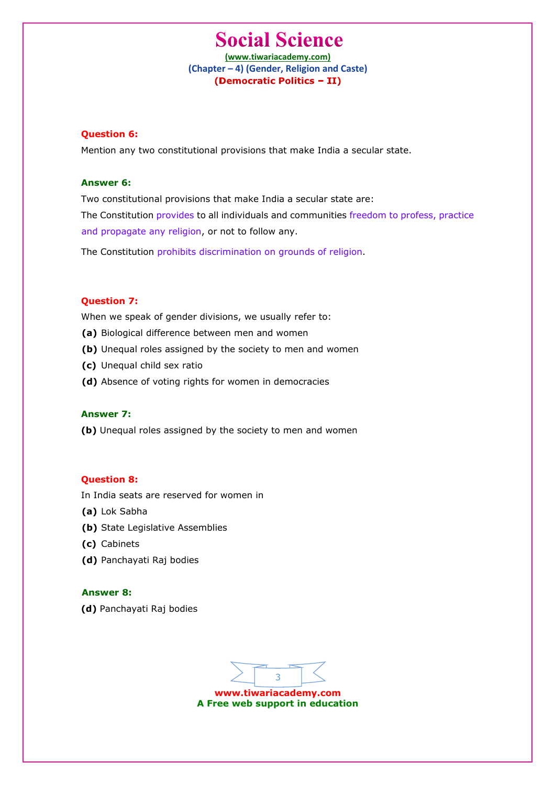**(www.tiwariacademy.com) (Chapter – 4) (Gender, Religion and Caste)**

## **Question 6:**

Mention any two constitutional provisions that make India a secular state.

#### **Answer 6:**

Two constitutional provisions that make India a secular state are: The Constitution provides to all individuals and communities freedom to profess, practice and propagate any religion, or not to follow any.

The Constitution prohibits discrimination on grounds of religion.

## **Question 7:**

When we speak of gender divisions, we usually refer to:

- **(a)** Biological difference between men and women
- **(b)** Unequal roles assigned by the society to men and women
- **(c)** Unequal child sex ratio
- **(d)** Absence of voting rights for women in democracies

## **Answer 7:**

**(b)** Unequal roles assigned by the society to men and women

### **Question 8:**

In India seats are reserved for women in

- **(a)** Lok Sabha
- **(b)** State Legislative Assemblies
- **(c)** Cabinets
- **(d)** Panchayati Raj bodies

#### **Answer 8:**

**(d)** Panchayati Raj bodies

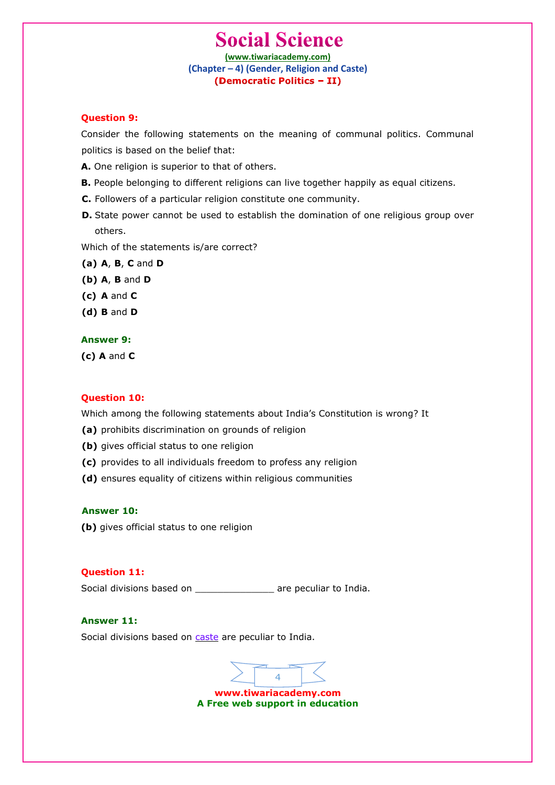**(www.tiwariacademy.com) (Chapter – 4) (Gender, Religion and Caste)**

## **Question 9:**

Consider the following statements on the meaning of communal politics. Communal politics is based on the belief that:

- **A.** One religion is superior to that of others.
- **B.** People belonging to different religions can live together happily as equal citizens.
- **C.** Followers of a particular religion constitute one community.
- **D.** State power cannot be used to establish the domination of one religious group over others.

Which of the statements is/are correct?

- **(a) A**, **B**, **C** and **D**
- **(b) A**, **B** and **D**
- **(c) A** and **C**
- **(d) B** and **D**

#### **Answer 9:**

**(c) A** and **C**

### **Question 10:**

Which among the following statements about India's Constitution is wrong? It

- **(a)** prohibits discrimination on grounds of religion
- **(b)** gives official status to one religion
- **(c)** provides to all individuals freedom to profess any religion
- **(d)** ensures equality of citizens within religious communities

#### **Answer 10:**

**(b)** gives official status to one religion

#### **Question 11:**

Social divisions based on \_\_\_\_\_\_\_\_\_\_\_\_\_\_\_\_ are peculiar to India.

## **Answer 11:**

Social divisions based on caste are peculiar to India.